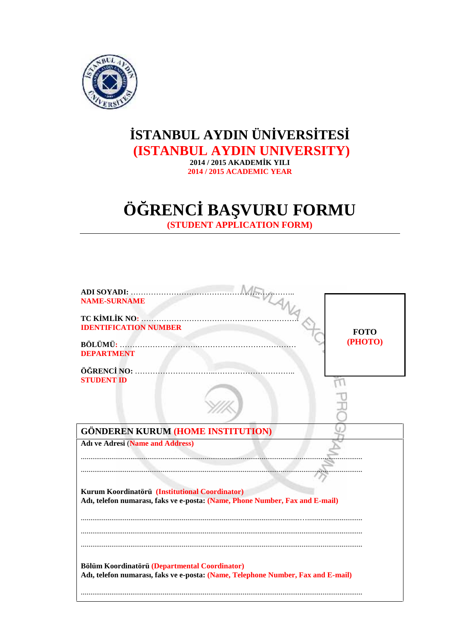

## **STANBUL AYDIN ÜN VERS TES (ISTANBUL AYDIN UNIVERSITY)**

**2014 / 2015 AKADEMİK YILI 2014 / 2015 ACADEMIC YEAR**

# **Ö RENC BA VURU FORMU**

**(STUDENT APPLICATION FORM)**

| <b>NAME-SURNAME</b>                                                                                                               |             |
|-----------------------------------------------------------------------------------------------------------------------------------|-------------|
| <b>IDENTIFICATION NUMBER</b>                                                                                                      | <b>FOTO</b> |
| <b>DEPARTMENT</b>                                                                                                                 | (PHOTO)     |
| <b>STUDENT ID</b>                                                                                                                 |             |
| <b>GÖNDEREN KURUM (HOME INSTITUTION)</b>                                                                                          |             |
| <b>Adı ve Adresi (Name and Address)</b>                                                                                           |             |
| Kurum Koordinatörü (Institutional Coordinator)<br>Adı, telefon numarası, faks ve e-posta: (Name, Phone Number, Fax and E-mail)    |             |
|                                                                                                                                   |             |
| Bölüm Koordinatörü (Departmental Coordinator)<br>Adı, telefon numarası, faks ve e-posta: (Name, Telephone Number, Fax and E-mail) |             |
|                                                                                                                                   |             |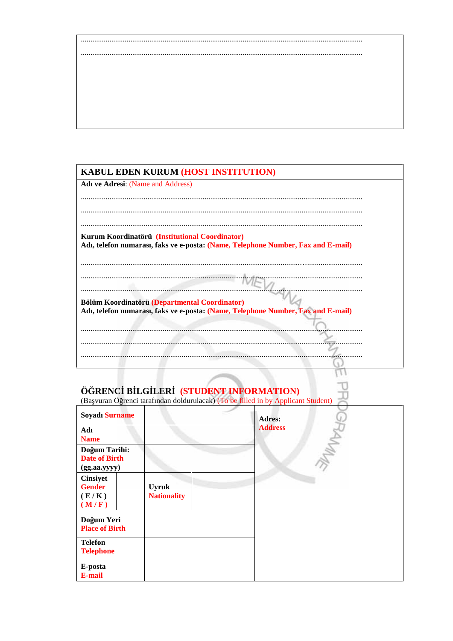#### KABUL EDEN KURUM (HOST INSTITUTION)

**Adı ve Adresi: (Name and Address)** 

Kurum Koordinatörü (Institutional Coordinator) Adı, telefon numarası, faks ve e-posta: (Name, Telephone Number, Fax and E-mail)

Bölüm Koordinatörü (Departmental Coordinator) Adı, telefon numarası, faks ve e-posta: (Name, Telephone Number, Fax and E-mail)

Lκ

U

Π

. . . . .

### Ö RENC B LG LER (STUDENT INFORMATION)

(Ba vuran Ö renci tarafından doldurulacak) (To be filled in by Applicant Student)

| <b>Soyadı Surname</b>                                 |                                    | <b>Adres:</b>  |
|-------------------------------------------------------|------------------------------------|----------------|
| Adı<br><b>Name</b>                                    |                                    | <b>Address</b> |
| Do um Tarihi:<br><b>Date of Birth</b><br>(gg.aa.yyyy) |                                    |                |
| <b>Cinsiyet</b><br><b>Gender</b><br>(E/K)<br>(M/F)    | <b>Uyruk</b><br><b>Nationality</b> |                |
| Do um Yeri<br><b>Place of Birth</b>                   |                                    |                |
| <b>Telefon</b><br><b>Telephone</b>                    |                                    |                |
| E-posta<br>E-mail                                     |                                    |                |